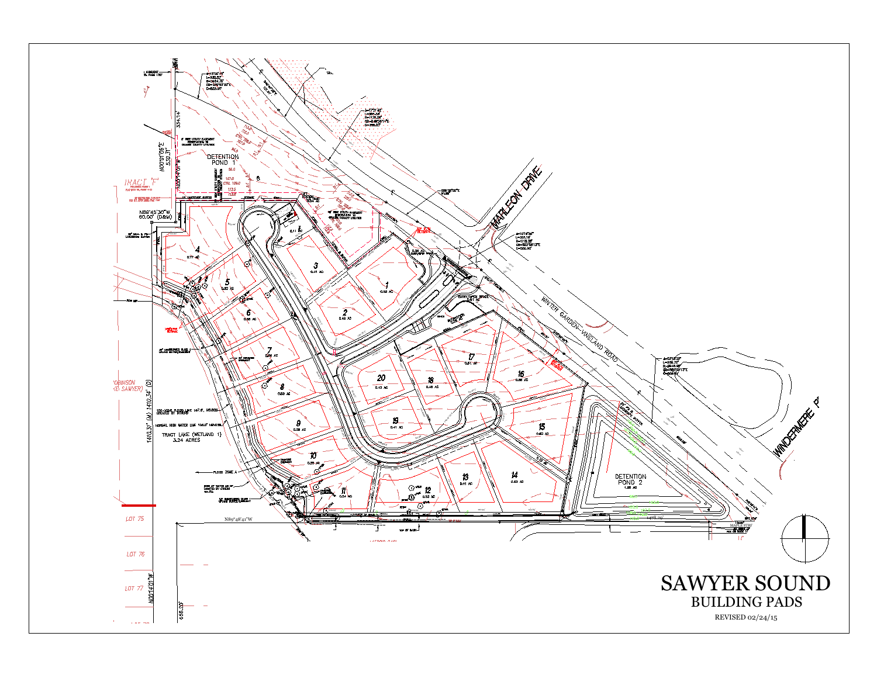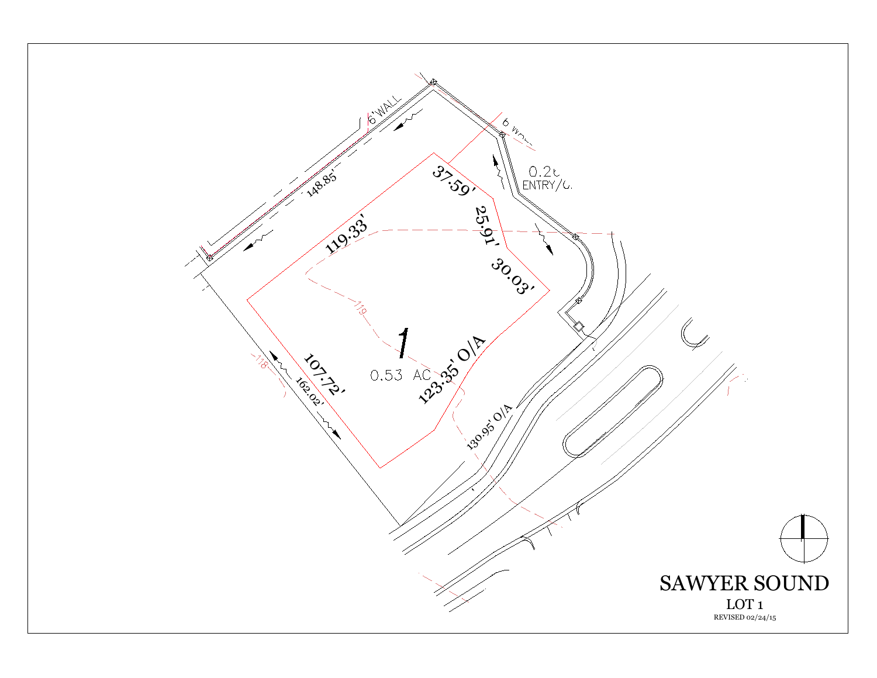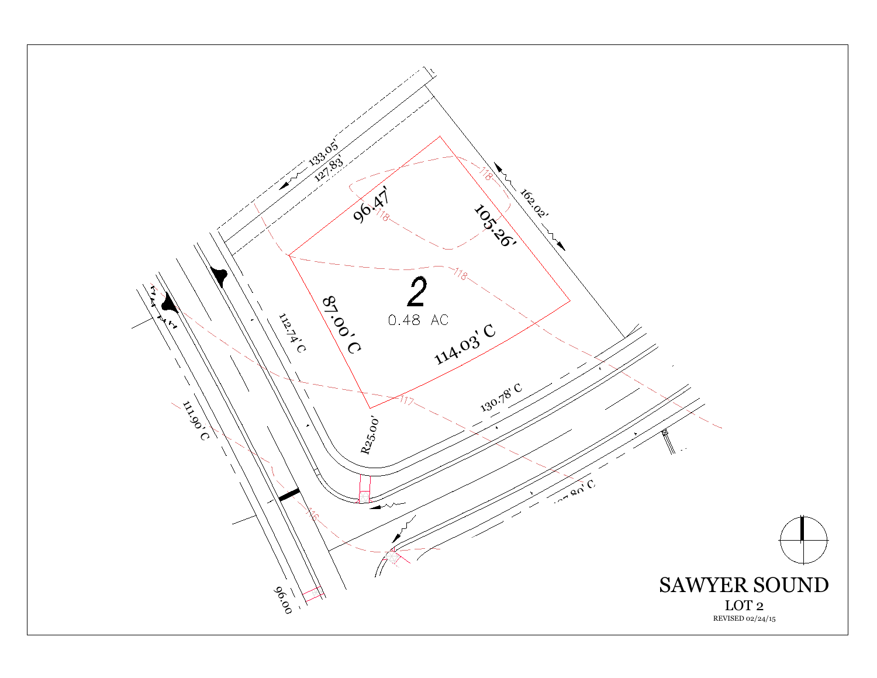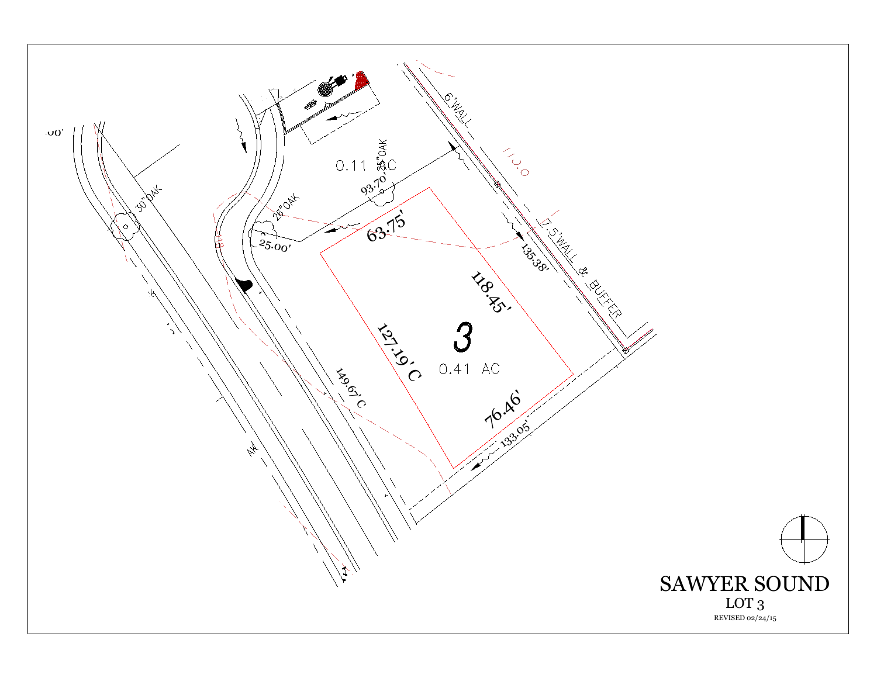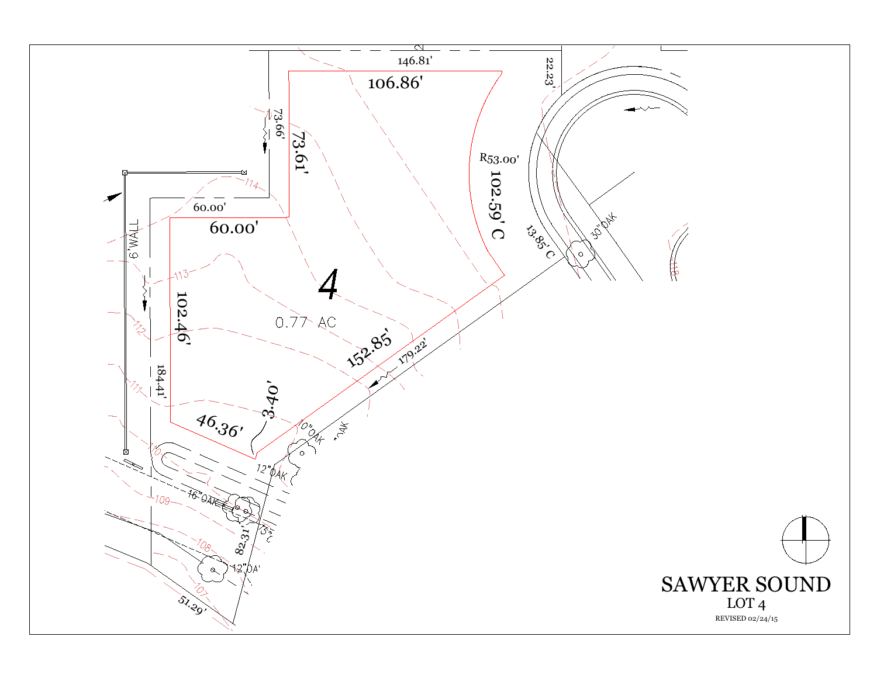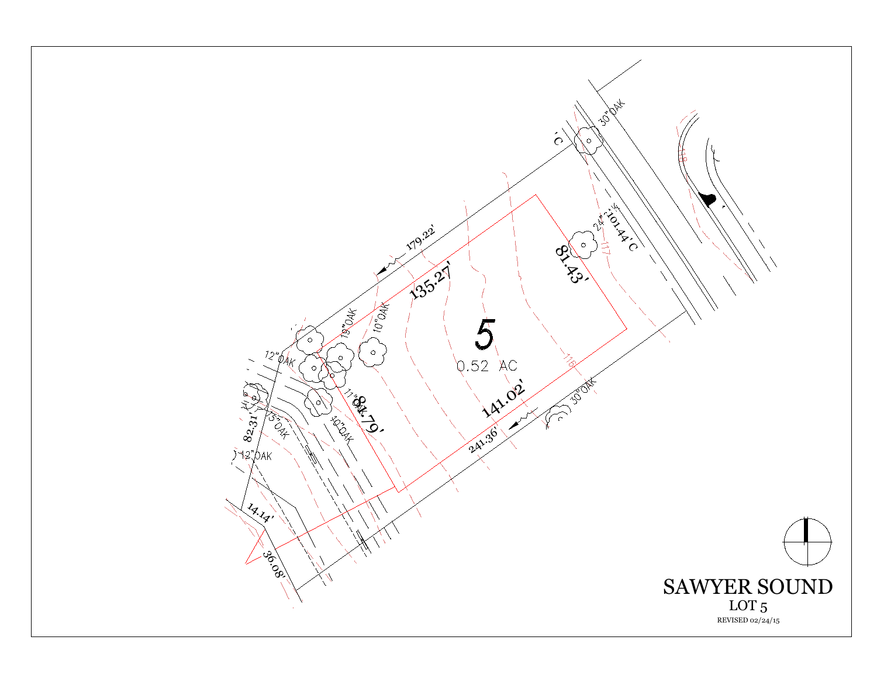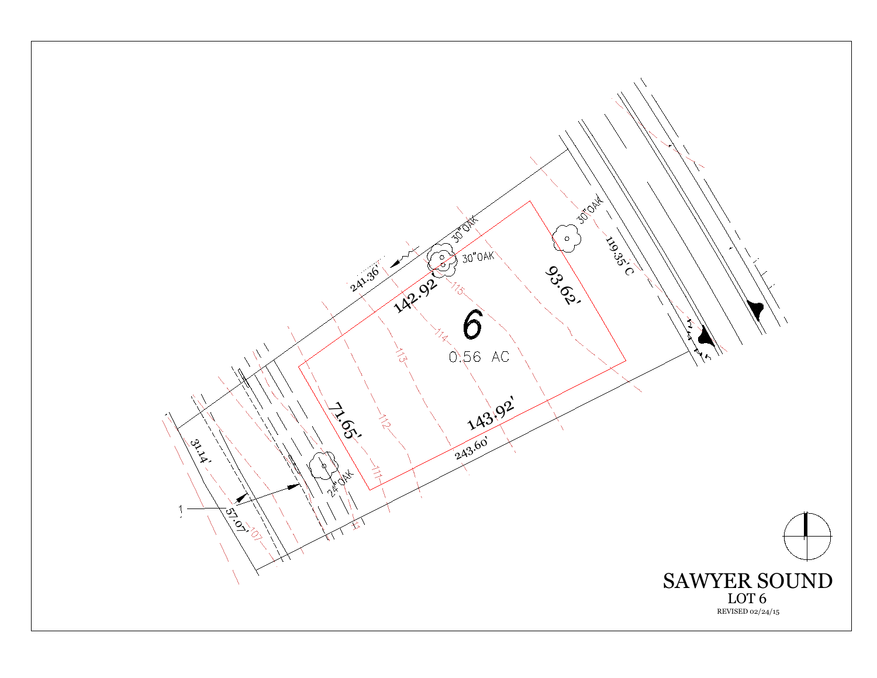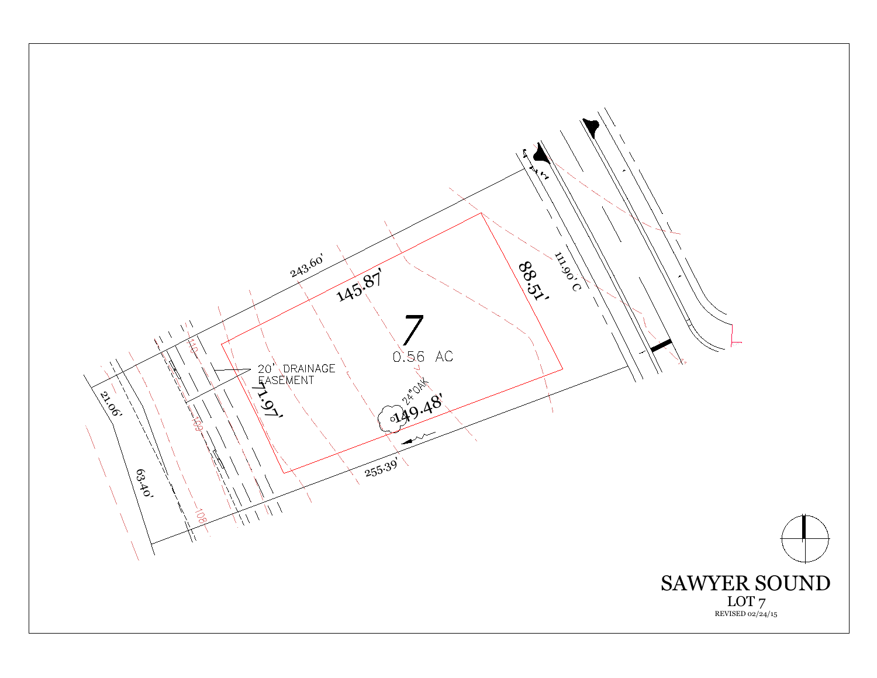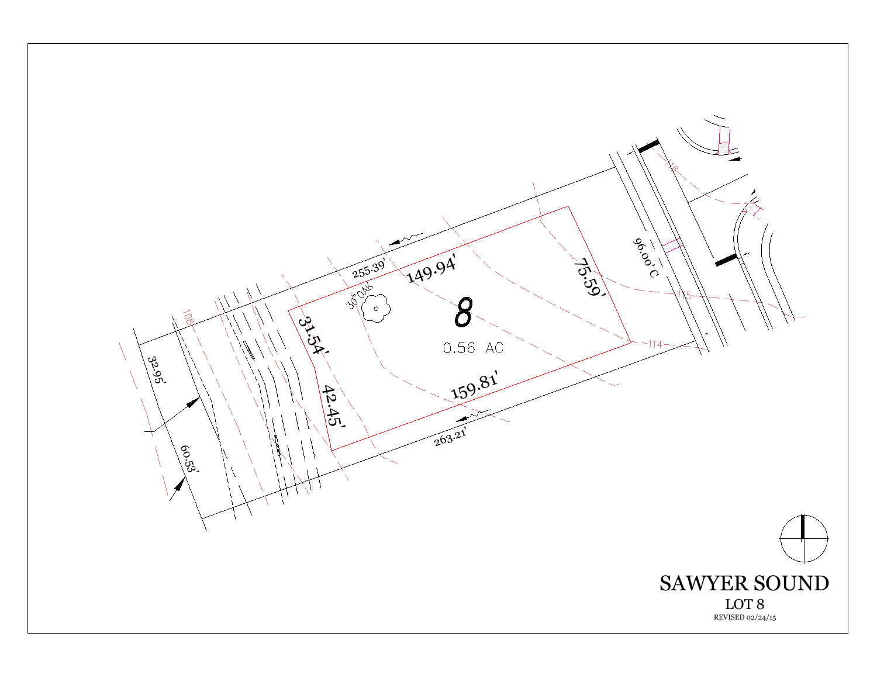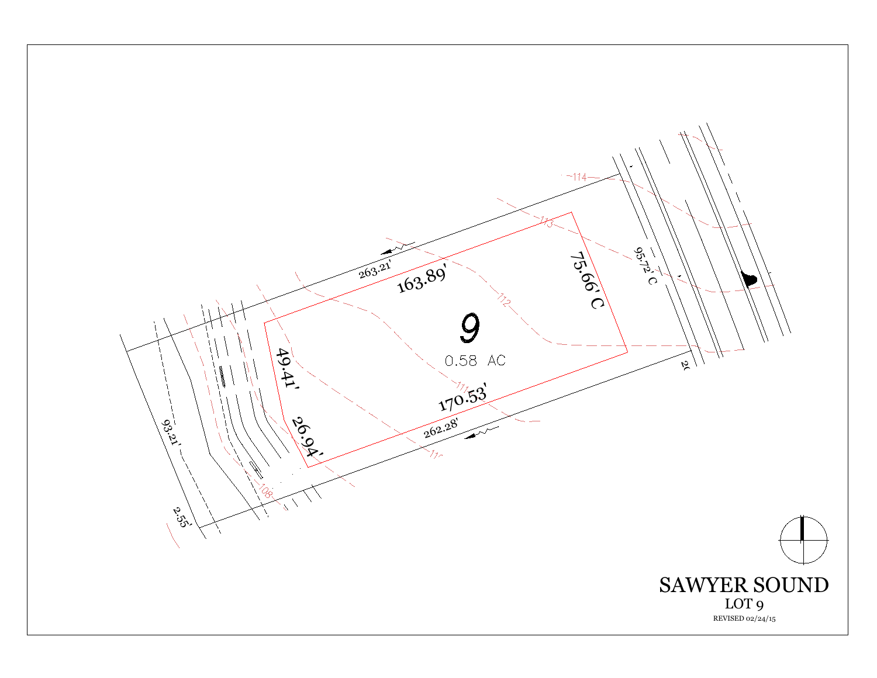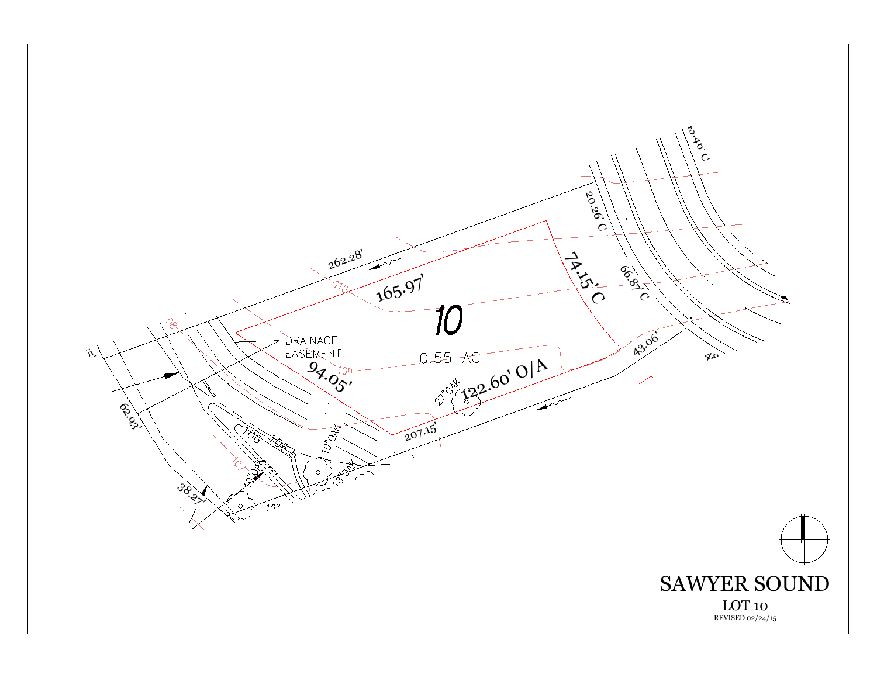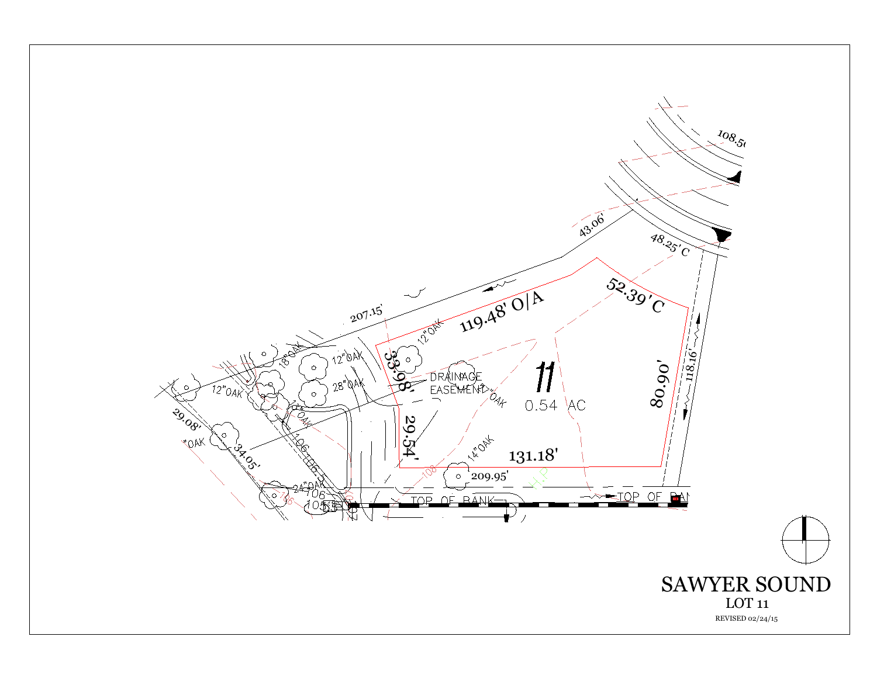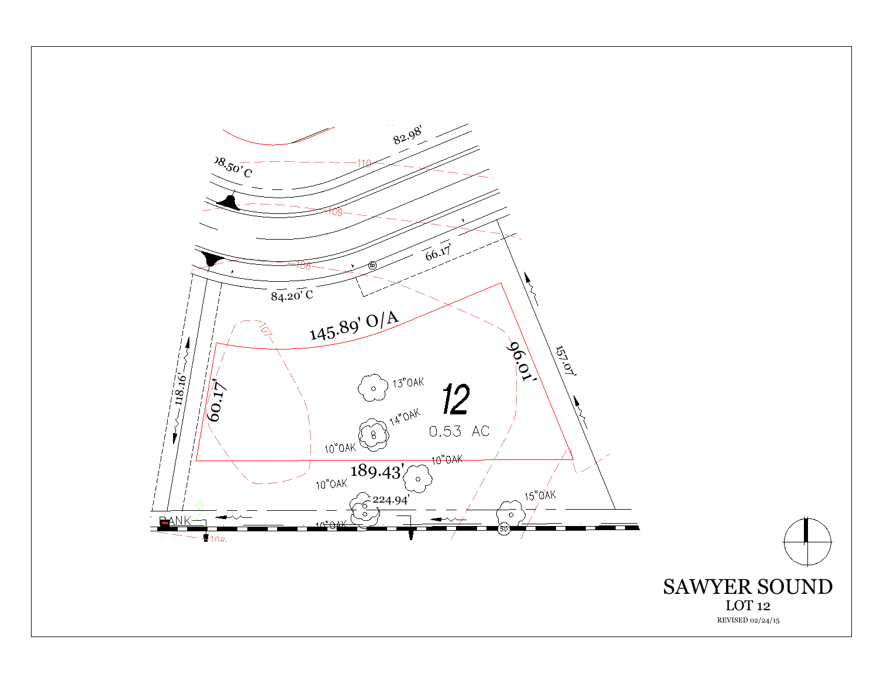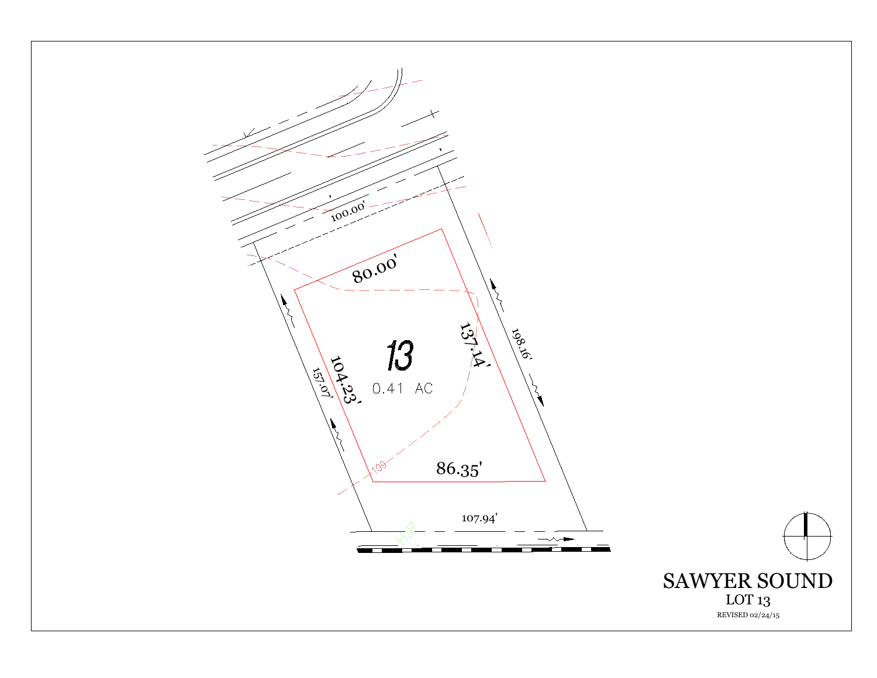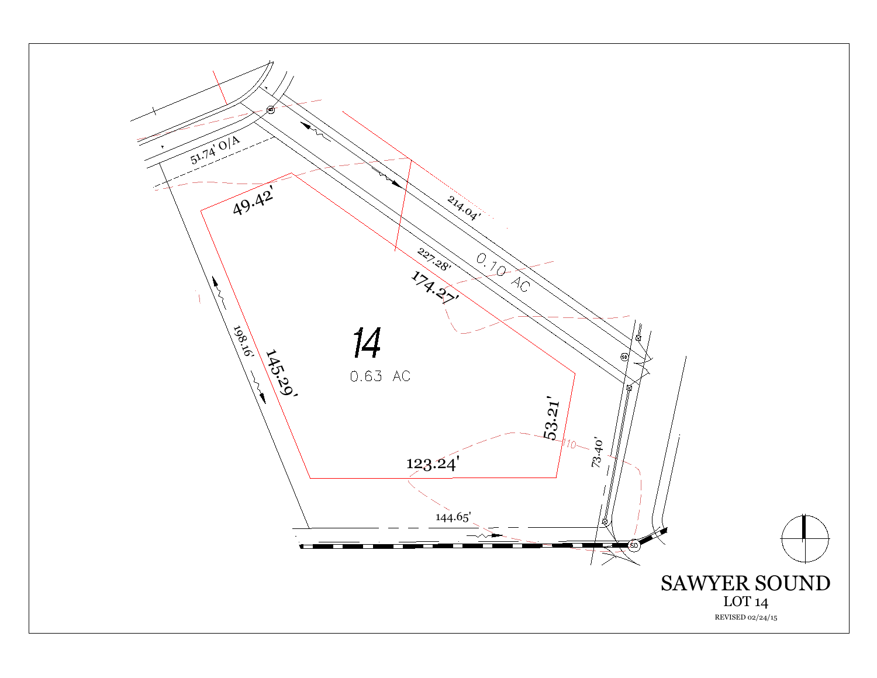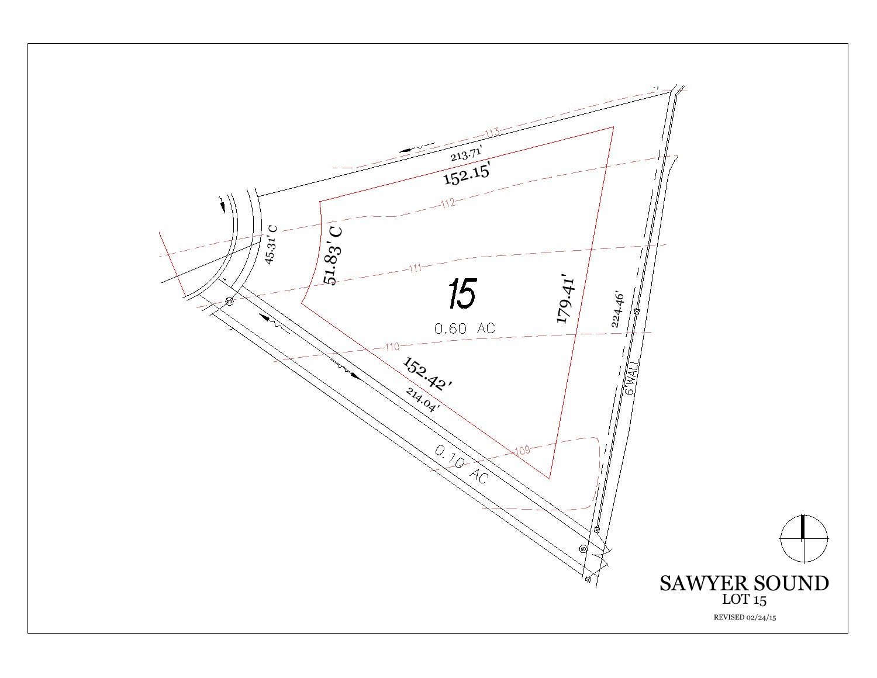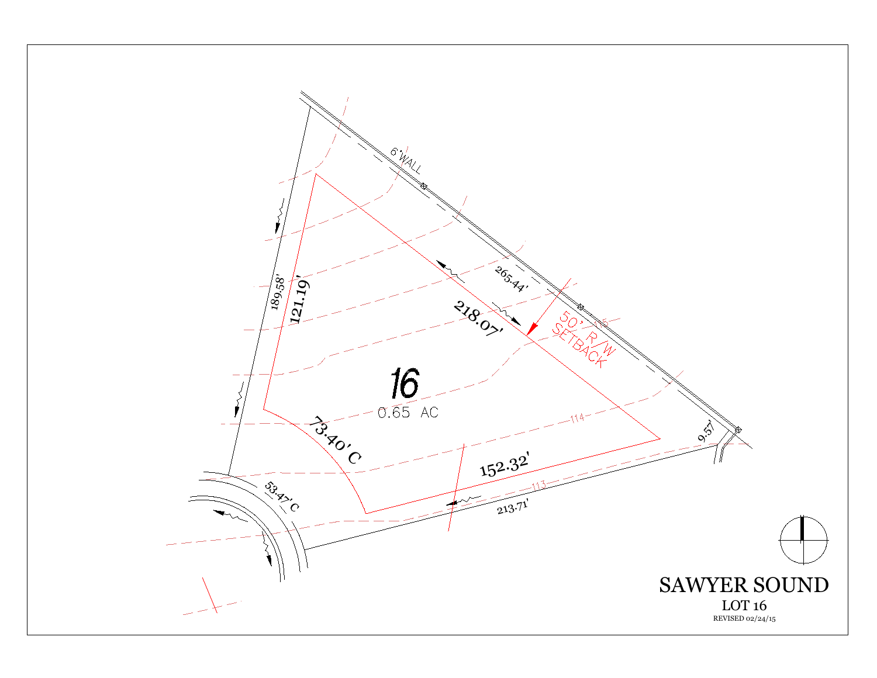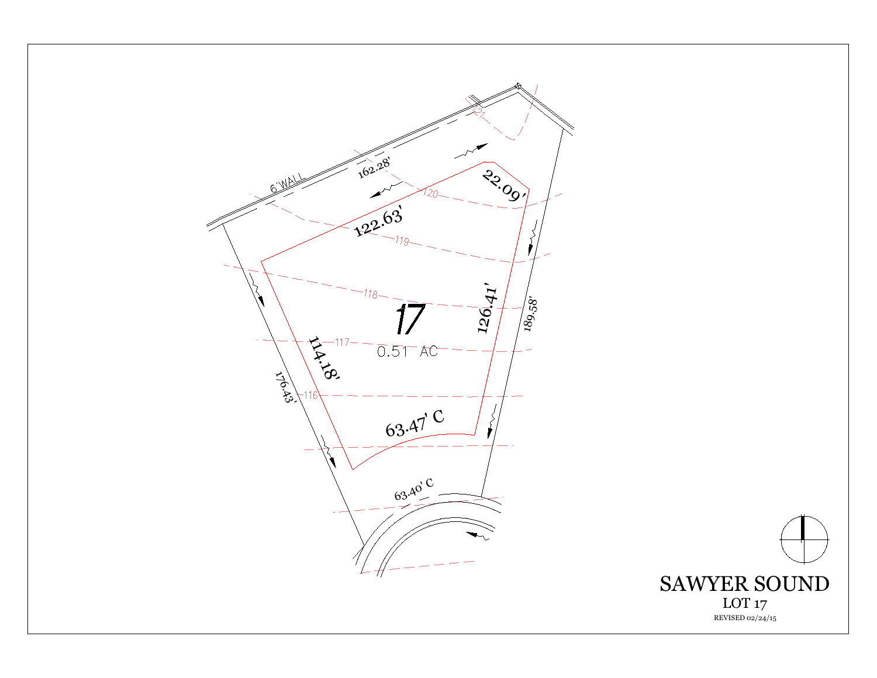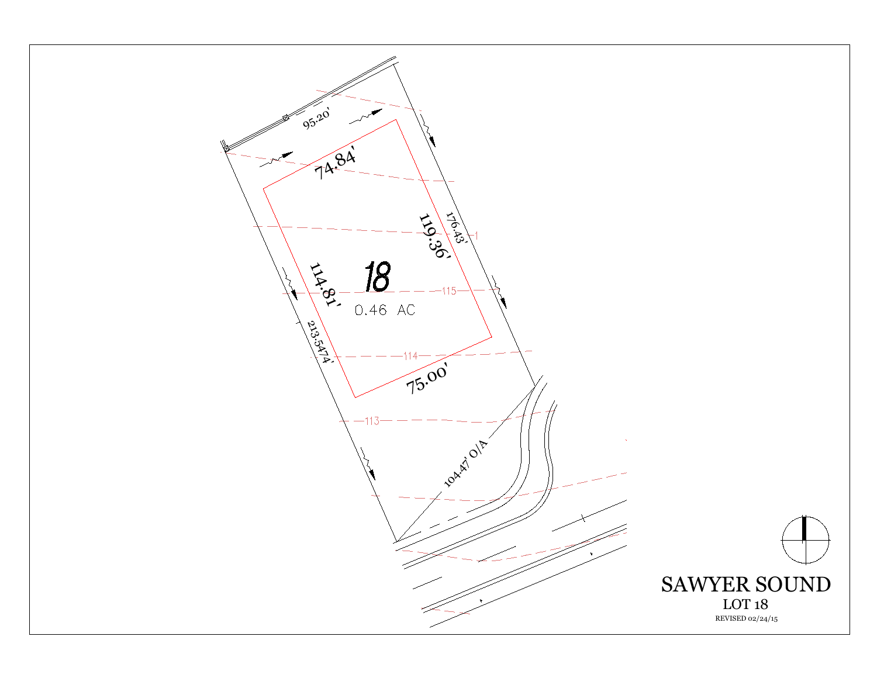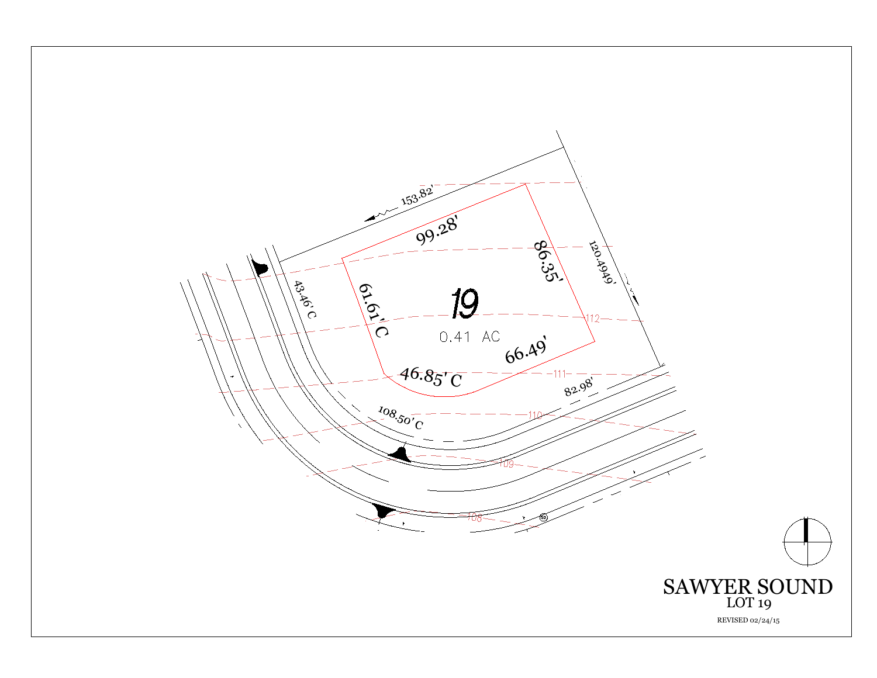